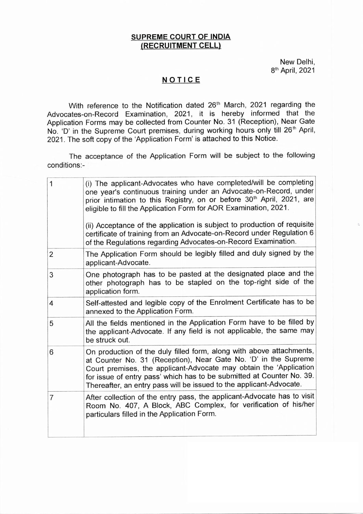### **SUPREME COURT OF INDIA (RECRUITMENT CELL)**

New Delhi, 8 th April, 2021

#### **NOTICE**

With reference to the Notification dated 26<sup>th</sup> March, 2021 regarding the Advocates-on-Record Examination, 2021, it is hereby informed that the Application Forms may be collected from Counter No. 31 (Reception), Near Gate No. 'D' in the Supreme Court premises, during working hours only till 26<sup>th</sup> April, 2021. The soft copy of the 'Application Form' is attached to this Notice.

The acceptance of the Application Form will be subject to the following conditions:-

| 1              | (i) The applicant-Advocates who have completed/will be completing<br>one year's continuous training under an Advocate-on-Record, under<br>prior intimation to this Registry, on or before 30 <sup>th</sup> April, 2021, are<br>eligible to fill the Application Form for AOR Examination, 2021.<br>(ii) Acceptance of the application is subject to production of requisite<br>certificate of training from an Advocate-on-Record under Regulation 6<br>of the Regulations regarding Advocates-on-Record Examination. |
|----------------|-----------------------------------------------------------------------------------------------------------------------------------------------------------------------------------------------------------------------------------------------------------------------------------------------------------------------------------------------------------------------------------------------------------------------------------------------------------------------------------------------------------------------|
| $\overline{2}$ | The Application Form should be legibly filled and duly signed by the<br>applicant-Advocate.                                                                                                                                                                                                                                                                                                                                                                                                                           |
| 3              | One photograph has to be pasted at the designated place and the<br>other photograph has to be stapled on the top-right side of the<br>application form.                                                                                                                                                                                                                                                                                                                                                               |
| $\overline{4}$ | Self-attested and legible copy of the Enrolment Certificate has to be<br>annexed to the Application Form.                                                                                                                                                                                                                                                                                                                                                                                                             |
| 5              | All the fields mentioned in the Application Form have to be filled by<br>the applicant-Advocate. If any field is not applicable, the same may<br>be struck out.                                                                                                                                                                                                                                                                                                                                                       |
| 6              | On production of the duly filled form, along with above attachments,<br>at Counter No. 31 (Reception), Near Gate No. 'D' in the Supreme<br>Court premises, the applicant-Advocate may obtain the 'Application<br>for issue of entry pass' which has to be submitted at Counter No. 39.<br>Thereafter, an entry pass will be issued to the applicant-Advocate.                                                                                                                                                         |
| 7              | After collection of the entry pass, the applicant-Advocate has to visit<br>Room No. 407, A Block, ABC Complex, for verification of his/her<br>particulars filled in the Application Form.                                                                                                                                                                                                                                                                                                                             |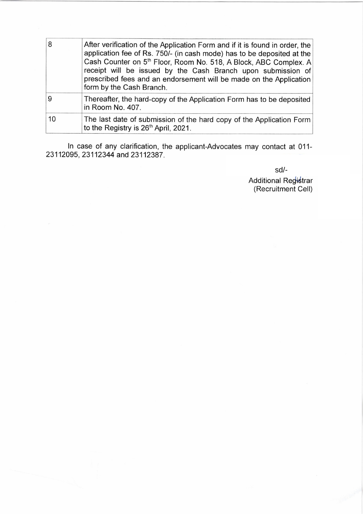| 8  | After verification of the Application Form and if it is found in order, the<br>application fee of Rs. 750/- (in cash mode) has to be deposited at the<br>Cash Counter on 5 <sup>th</sup> Floor, Room No. 518, A Block, ABC Complex. A<br>receipt will be issued by the Cash Branch upon submission of<br>prescribed fees and an endorsement will be made on the Application<br>form by the Cash Branch. |
|----|---------------------------------------------------------------------------------------------------------------------------------------------------------------------------------------------------------------------------------------------------------------------------------------------------------------------------------------------------------------------------------------------------------|
|    | Thereafter, the hard-copy of the Application Form has to be deposited<br>in Room No. 407.                                                                                                                                                                                                                                                                                                               |
| 10 | The last date of submission of the hard copy of the Application Form<br>to the Registry is 26 <sup>th</sup> April, 2021.                                                                                                                                                                                                                                                                                |

In case of any clarification, the applicant-Advocates may contact at 011- 23112095, 23112344 and 23112387.

sd/-<br>Additional Re<del>gist</del>rar<br>(Recruitment Cell)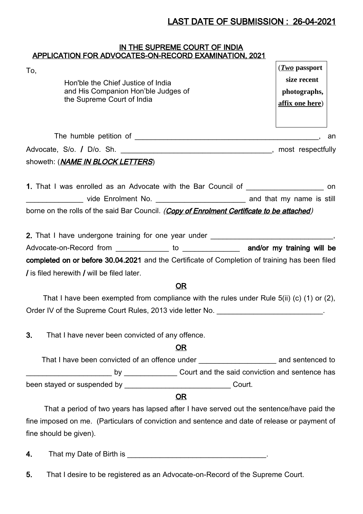# LAST DATE OF SUBMISSION : 26-04-2021

### <u>IN THE SUPREME COURT OF INDIA</u> APPLICATION FOR ADVOCATES-ON-RECORD EXAMINATION, 2021

| To,                                                                                                | $(Two$ passport |
|----------------------------------------------------------------------------------------------------|-----------------|
| Hon'ble the Chief Justice of India                                                                 | size recent     |
| and His Companion Hon'ble Judges of                                                                | photographs,    |
| the Supreme Court of India                                                                         | affix one here) |
|                                                                                                    |                 |
|                                                                                                    |                 |
|                                                                                                    |                 |
| showeth: ( <i>NAME IN BLOCK LETTERS</i> )                                                          |                 |
|                                                                                                    |                 |
| 1. That I was enrolled as an Advocate with the Bar Council of ___________________ on               |                 |
|                                                                                                    |                 |
| borne on the rolls of the said Bar Council. (Copy of Enrolment Certificate to be attached)         |                 |
|                                                                                                    |                 |
| 2. That I have undergone training for one year under ___________________________,                  |                 |
| Advocate-on-Record from ______________ to _________________ and/or my training will be             |                 |
| completed on or before 30.04.2021 and the Certificate of Completion of training has been filed     |                 |
| / is filed herewith / will be filed later.                                                         |                 |
| OR                                                                                                 |                 |
| That I have been exempted from compliance with the rules under Rule 5(ii) (c) (1) or (2),          |                 |
| Order IV of the Supreme Court Rules, 2013 vide letter No. _________________________.               |                 |
|                                                                                                    |                 |
| 3.<br>That I have never been convicted of any offence.                                             |                 |
| <u>OR</u>                                                                                          |                 |
| That I have been convicted of an offence under __________________________________ and sentenced to |                 |
|                                                                                                    |                 |
|                                                                                                    |                 |
| OR                                                                                                 |                 |
| That a period of two years has lapsed after I have served out the sentence/have paid the           |                 |
| fine imposed on me. (Particulars of conviction and sentence and date of release or payment of      |                 |
| fine should be given).                                                                             |                 |
|                                                                                                    |                 |

- 4. That my Date of Birth is \_\_\_\_\_\_\_\_\_\_\_\_\_\_\_\_\_\_\_\_\_\_\_\_\_\_\_\_\_\_\_\_\_\_.
- 5. That I desire to be registered as an Advocate-on-Record of the Supreme Court.